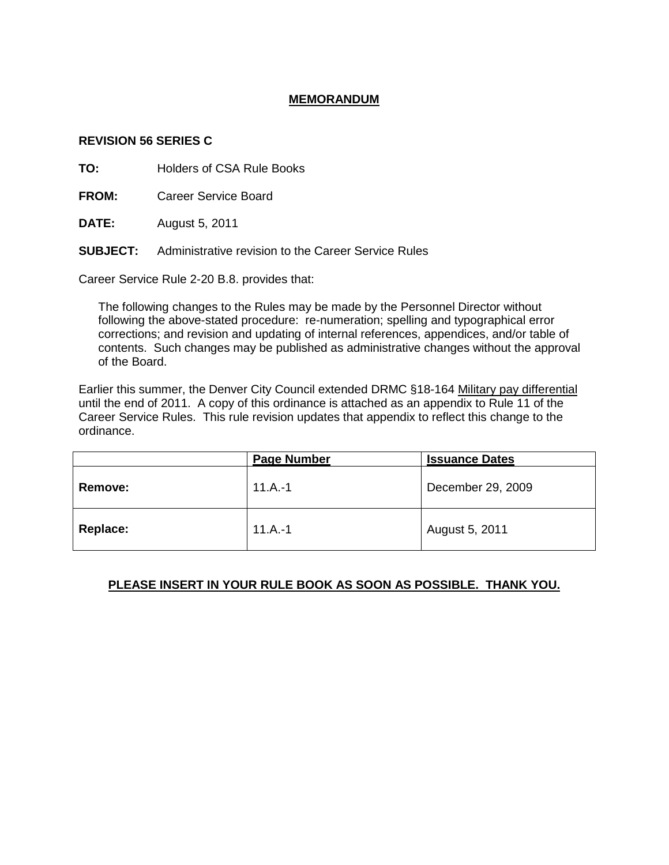## **MEMORANDUM**

## **REVISION 56 SERIES C**

**TO:** Holders of CSA Rule Books

**FROM:** Career Service Board

**DATE:** August 5, 2011

**SUBJECT:** Administrative revision to the Career Service Rules

Career Service Rule 2-20 B.8. provides that:

The following changes to the Rules may be made by the Personnel Director without following the above-stated procedure: re-numeration; spelling and typographical error corrections; and revision and updating of internal references, appendices, and/or table of contents. Such changes may be published as administrative changes without the approval of the Board.

Earlier this summer, the Denver City Council extended DRMC §18-164 Military pay differential until the end of 2011. A copy of this ordinance is attached as an appendix to Rule 11 of the Career Service Rules. This rule revision updates that appendix to reflect this change to the ordinance.

|                | <b>Page Number</b> | <b>Issuance Dates</b> |
|----------------|--------------------|-----------------------|
| <b>Remove:</b> | $11.A.-1$          | December 29, 2009     |
| Replace:       | $11.A.-1$          | August 5, 2011        |

## **PLEASE INSERT IN YOUR RULE BOOK AS SOON AS POSSIBLE. THANK YOU.**